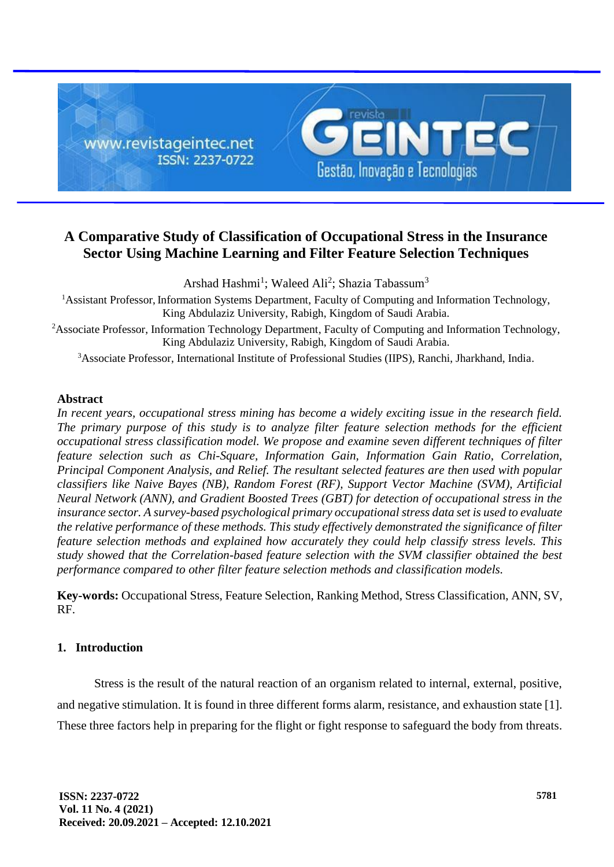

# **A Comparative Study of Classification of Occupational Stress in the Insurance Sector Using Machine Learning and Filter Feature Selection Techniques**

Arshad Hashmi<sup>1</sup>; Waleed Ali<sup>2</sup>; Shazia Tabassum<sup>3</sup>

<sup>1</sup>Assistant Professor, Information Systems Department, Faculty of Computing and Information Technology, King Abdulaziz University, Rabigh, Kingdom of Saudi Arabia.

<sup>2</sup>Associate Professor, Information Technology Department, Faculty of Computing and Information Technology, King Abdulaziz University, Rabigh, Kingdom of Saudi Arabia.

<sup>3</sup>Associate Professor, International Institute of Professional Studies (IIPS), Ranchi, Jharkhand, India.

# **Abstract**

*In recent years, occupational stress mining has become a widely exciting issue in the research field. The primary purpose of this study is to analyze filter feature selection methods for the efficient occupational stress classification model. We propose and examine seven different techniques of filter feature selection such as Chi-Square, Information Gain, Information Gain Ratio, Correlation, Principal Component Analysis, and Relief. The resultant selected features are then used with popular classifiers like Naive Bayes (NB), Random Forest (RF), Support Vector Machine (SVM), Artificial Neural Network (ANN), and Gradient Boosted Trees (GBT) for detection of occupational stress in the insurance sector. A survey-based psychological primary occupational stress data set is used to evaluate the relative performance of these methods. This study effectively demonstrated the significance of filter feature selection methods and explained how accurately they could help classify stress levels. This study showed that the Correlation-based feature selection with the SVM classifier obtained the best performance compared to other filter feature selection methods and classification models.*

**Key-words:** Occupational Stress, Feature Selection, Ranking Method, Stress Classification, ANN, SV, RF.

# **1. Introduction**

Stress is the result of the natural reaction of an organism related to internal, external, positive, and negative stimulation. It is found in three different forms alarm, resistance, and exhaustion state [1]. These three factors help in preparing for the flight or fight response to safeguard the body from threats.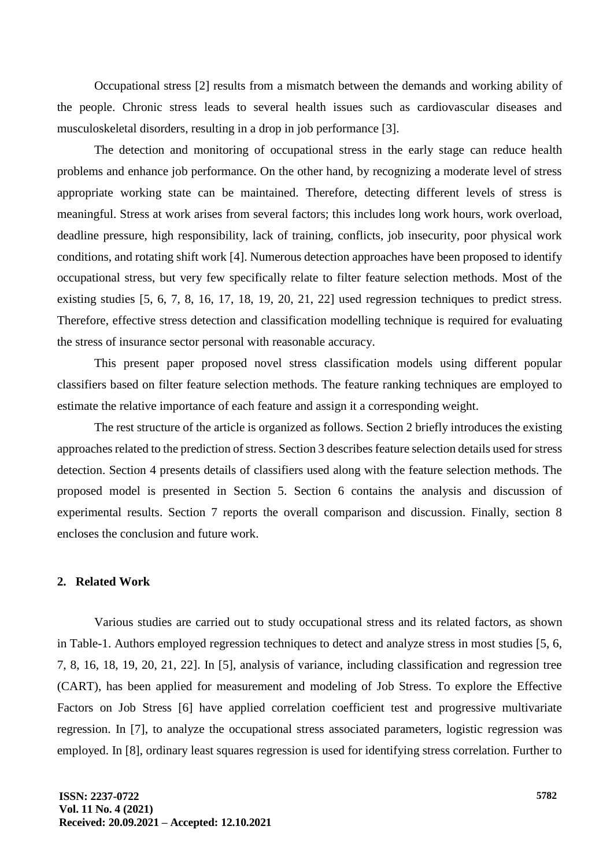Occupational stress [2] results from a mismatch between the demands and working ability of the people. Chronic stress leads to several health issues such as cardiovascular diseases and musculoskeletal disorders, resulting in a drop in job performance [3].

The detection and monitoring of occupational stress in the early stage can reduce health problems and enhance job performance. On the other hand, by recognizing a moderate level of stress appropriate working state can be maintained. Therefore, detecting different levels of stress is meaningful. Stress at work arises from several factors; this includes long work hours, work overload, deadline pressure, high responsibility, lack of training, conflicts, job insecurity, poor physical work conditions, and rotating shift work [4]. Numerous detection approaches have been proposed to identify occupational stress, but very few specifically relate to filter feature selection methods. Most of the existing studies [5, 6, 7, 8, 16, 17, 18, 19, 20, 21, 22] used regression techniques to predict stress. Therefore, effective stress detection and classification modelling technique is required for evaluating the stress of insurance sector personal with reasonable accuracy.

This present paper proposed novel stress classification models using different popular classifiers based on filter feature selection methods. The feature ranking techniques are employed to estimate the relative importance of each feature and assign it a corresponding weight.

The rest structure of the article is organized as follows. Section 2 briefly introduces the existing approaches related to the prediction of stress. Section 3 describes feature selection details used for stress detection. Section 4 presents details of classifiers used along with the feature selection methods. The proposed model is presented in Section 5. Section 6 contains the analysis and discussion of experimental results. Section 7 reports the overall comparison and discussion. Finally, section 8 encloses the conclusion and future work.

# **2. Related Work**

Various studies are carried out to study occupational stress and its related factors, as shown in Table-1. Authors employed regression techniques to detect and analyze stress in most studies [5, 6, 7, 8, 16, 18, 19, 20, 21, 22]. In [5], analysis of variance, including classification and regression tree (CART), has been applied for measurement and modeling of Job Stress. To explore the Effective Factors on Job Stress [6] have applied correlation coefficient test and progressive multivariate regression. In [7], to analyze the occupational stress associated parameters, logistic regression was employed. In [8], ordinary least squares regression is used for identifying stress correlation. Further to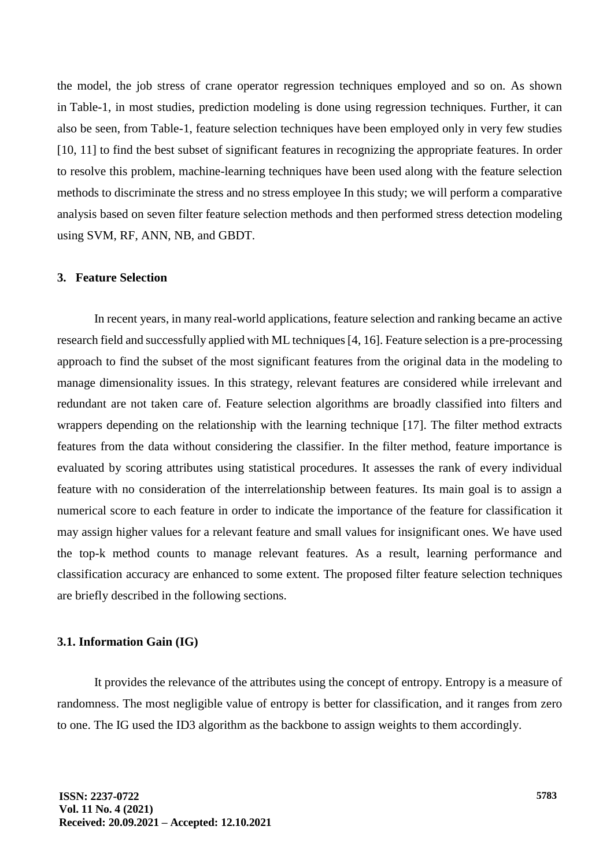the model, the job stress of crane operator regression techniques employed and so on. As shown in Table-1, in most studies, prediction modeling is done using regression techniques. Further, it can also be seen, from Table-1, feature selection techniques have been employed only in very few studies [10, 11] to find the best subset of significant features in recognizing the appropriate features. In order to resolve this problem, machine-learning techniques have been used along with the feature selection methods to discriminate the stress and no stress employee In this study; we will perform a comparative analysis based on seven filter feature selection methods and then performed stress detection modeling using SVM, RF, ANN, NB, and GBDT.

### **3. Feature Selection**

In recent years, in many real-world applications, feature selection and ranking became an active research field and successfully applied with ML techniques [4, 16]. Feature selection is a pre-processing approach to find the subset of the most significant features from the original data in the modeling to manage dimensionality issues. In this strategy, relevant features are considered while irrelevant and redundant are not taken care of. Feature selection algorithms are broadly classified into filters and wrappers depending on the relationship with the learning technique [17]. The filter method extracts features from the data without considering the classifier. In the filter method, feature importance is evaluated by scoring attributes using statistical procedures. It assesses the rank of every individual feature with no consideration of the interrelationship between features. Its main goal is to assign a numerical score to each feature in order to indicate the importance of the feature for classification it may assign higher values for a relevant feature and small values for insignificant ones. We have used the top-k method counts to manage relevant features. As a result, learning performance and classification accuracy are enhanced to some extent. The proposed filter feature selection techniques are briefly described in the following sections.

### **3.1. Information Gain (IG)**

It provides the relevance of the attributes using the concept of entropy. Entropy is a measure of randomness. The most negligible value of entropy is better for classification, and it ranges from zero to one. The IG used the ID3 algorithm as the backbone to assign weights to them accordingly.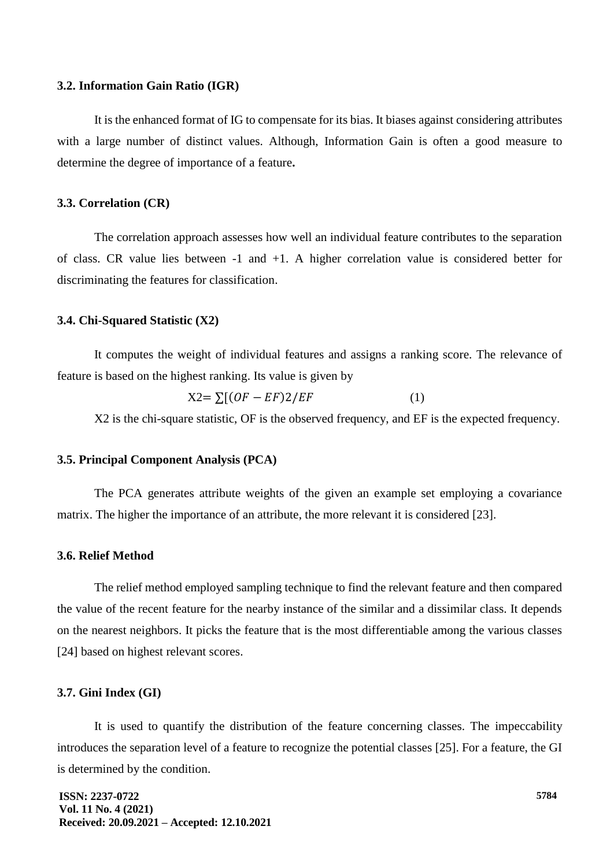#### **3.2. Information Gain Ratio (IGR)**

It is the enhanced format of IG to compensate for its bias. It biases against considering attributes with a large number of distinct values. Although, Information Gain is often a good measure to determine the degree of importance of a feature**.** 

### **3.3. Correlation (CR)**

The correlation approach assesses how well an individual feature contributes to the separation of class. CR value lies between -1 and +1. A higher correlation value is considered better for discriminating the features for classification.

#### **3.4. Chi-Squared Statistic (X2)**

It computes the weight of individual features and assigns a ranking score. The relevance of feature is based on the highest ranking. Its value is given by

$$
X2 = \sum [(OF - EF)2/EF \tag{1}
$$

X2 is the chi-square statistic, OF is the observed frequency, and EF is the expected frequency.

#### **3.5. Principal Component Analysis (PCA)**

The PCA generates attribute weights of the given an example set employing a covariance matrix. The higher the importance of an attribute, the more relevant it is considered [23].

#### **3.6. Relief Method**

The relief method employed sampling technique to find the relevant feature and then compared the value of the recent feature for the nearby instance of the similar and a dissimilar class. It depends on the nearest neighbors. It picks the feature that is the most differentiable among the various classes [24] based on highest relevant scores.

### **3.7. Gini Index (GI)**

It is used to quantify the distribution of the feature concerning classes. The impeccability introduces the separation level of a feature to recognize the potential classes [25]. For a feature, the GI is determined by the condition.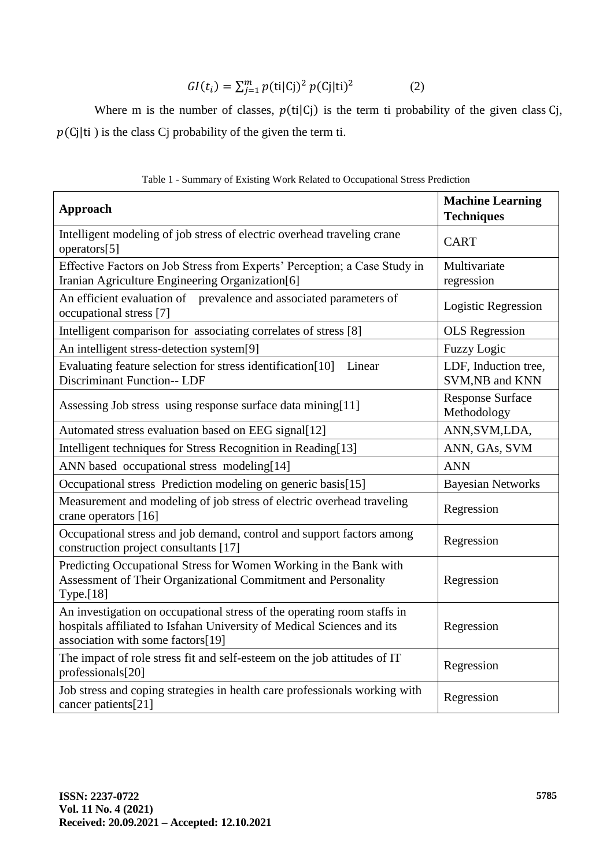$$
GI(t_i) = \sum_{j=1}^{m} p(\text{ti}|C_j)^2 p(C_j|\text{ti})^2
$$
 (2)

Where m is the number of classes,  $p(\text{ti}|C)$  is the term ti probability of the given class Cj,  $p(C_j|t)$  is the class Cj probability of the given the term ti.

| <b>Approach</b>                                                                                                                                                                        | <b>Machine Learning</b><br><b>Techniques</b> |
|----------------------------------------------------------------------------------------------------------------------------------------------------------------------------------------|----------------------------------------------|
| Intelligent modeling of job stress of electric overhead traveling crane<br>operators[5]                                                                                                | <b>CART</b>                                  |
| Effective Factors on Job Stress from Experts' Perception; a Case Study in<br>Iranian Agriculture Engineering Organization[6]                                                           | Multivariate<br>regression                   |
| An efficient evaluation of prevalence and associated parameters of<br>occupational stress [7]                                                                                          | <b>Logistic Regression</b>                   |
| Intelligent comparison for associating correlates of stress [8]                                                                                                                        | <b>OLS</b> Regression                        |
| An intelligent stress-detection system[9]                                                                                                                                              | <b>Fuzzy Logic</b>                           |
| Evaluating feature selection for stress identification[10]<br>Linear<br><b>Discriminant Function-- LDF</b>                                                                             | LDF, Induction tree,<br>SVM, NB and KNN      |
| Assessing Job stress using response surface data mining[11]                                                                                                                            | <b>Response Surface</b><br>Methodology       |
| Automated stress evaluation based on EEG signal[12]                                                                                                                                    | ANN, SVM, LDA,                               |
| Intelligent techniques for Stress Recognition in Reading[13]                                                                                                                           | ANN, GAs, SVM                                |
| ANN based occupational stress modeling[14]                                                                                                                                             | <b>ANN</b>                                   |
| Occupational stress Prediction modeling on generic basis[15]                                                                                                                           | <b>Bayesian Networks</b>                     |
| Measurement and modeling of job stress of electric overhead traveling<br>crane operators [16]                                                                                          | Regression                                   |
| Occupational stress and job demand, control and support factors among<br>construction project consultants [17]                                                                         | Regression                                   |
| Predicting Occupational Stress for Women Working in the Bank with<br>Assessment of Their Organizational Commitment and Personality<br><b>Type.</b> [18]                                | Regression                                   |
| An investigation on occupational stress of the operating room staffs in<br>hospitals affiliated to Isfahan University of Medical Sciences and its<br>association with some factors[19] | Regression                                   |
| The impact of role stress fit and self-esteem on the job attitudes of IT<br>professionals[20]                                                                                          | Regression                                   |
| Job stress and coping strategies in health care professionals working with<br>cancer patients[21]                                                                                      | Regression                                   |

Table 1 - Summary of Existing Work Related to Occupational Stress Prediction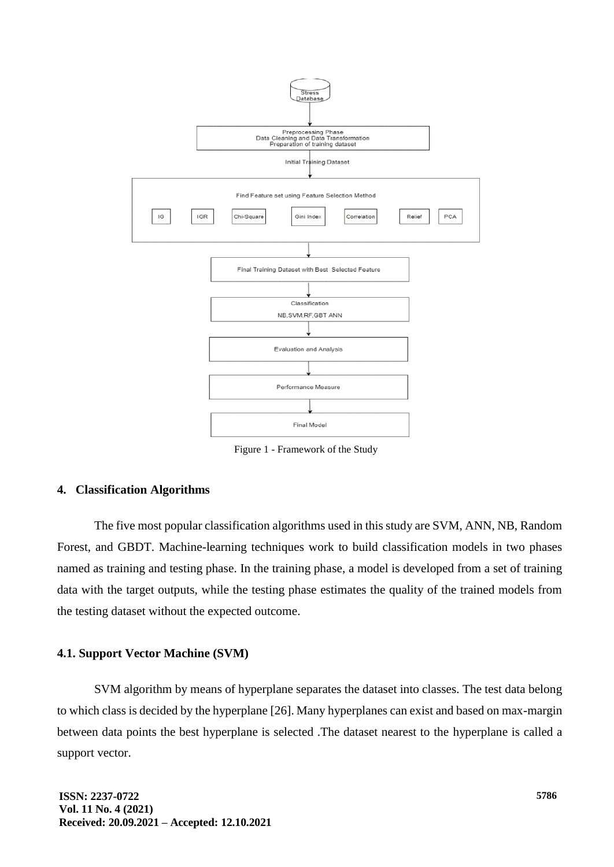

Figure 1 - Framework of the Study

# **4. Classification Algorithms**

The five most popular classification algorithms used in this study are SVM, ANN, NB, Random Forest, and GBDT. Machine-learning techniques work to build classification models in two phases named as training and testing phase. In the training phase, a model is developed from a set of training data with the target outputs, while the testing phase estimates the quality of the trained models from the testing dataset without the expected outcome.

# **4.1. Support Vector Machine (SVM)**

SVM algorithm by means of hyperplane separates the dataset into classes. The test data belong to which class is decided by the hyperplane [26]. Many hyperplanes can exist and based on max-margin between data points the best hyperplane is selected .The dataset nearest to the hyperplane is called a support vector.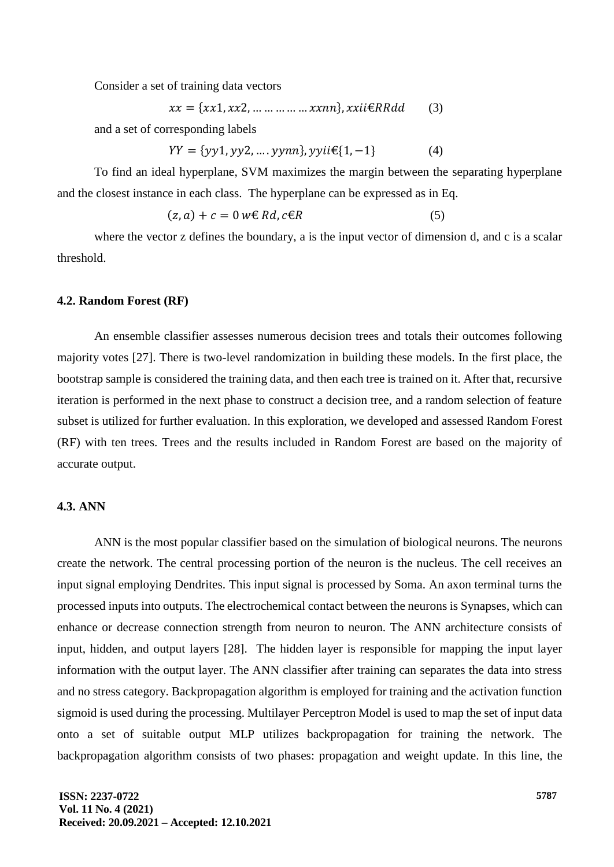Consider a set of training data vectors

$$
xx = \{xx1, xx2, \dots \dots \dots \dots xxnn\}, xxii\in RRdd
$$
 (3)

and a set of corresponding labels

$$
YY = \{yy1, yy2, ..., yynn\}, yyii \in \{1, -1\}
$$
 (4)

To find an ideal hyperplane, SVM maximizes the margin between the separating hyperplane and the closest instance in each class. The hyperplane can be expressed as in Eq.

$$
(z, a) + c = 0 \le Rd, c \in R
$$
 (5)

where the vector z defines the boundary, a is the input vector of dimension d, and c is a scalar threshold.

#### **4.2. Random Forest (RF)**

An ensemble classifier assesses numerous decision trees and totals their outcomes following majority votes [27]. There is two-level randomization in building these models. In the first place, the bootstrap sample is considered the training data, and then each tree is trained on it. After that, recursive iteration is performed in the next phase to construct a decision tree, and a random selection of feature subset is utilized for further evaluation. In this exploration, we developed and assessed Random Forest (RF) with ten trees. Trees and the results included in Random Forest are based on the majority of accurate output.

# **4.3. ANN**

ANN is the most popular classifier based on the simulation of biological neurons. The neurons create the network. The central processing portion of the neuron is the nucleus. The cell receives an input signal employing Dendrites. This input signal is processed by Soma. An axon terminal turns the processed inputs into outputs. The electrochemical contact between the neurons is Synapses, which can enhance or decrease connection strength from neuron to neuron. The ANN architecture consists of input, hidden, and output layers [28]. The hidden layer is responsible for mapping the input layer information with the output layer. The ANN classifier after training can separates the data into stress and no stress category. Backpropagation algorithm is employed for training and the activation function sigmoid is used during the processing. Multilayer Perceptron Model is used to map the set of input data onto a set of suitable output MLP utilizes backpropagation for training the network. The backpropagation algorithm consists of two phases: propagation and weight update. In this line, the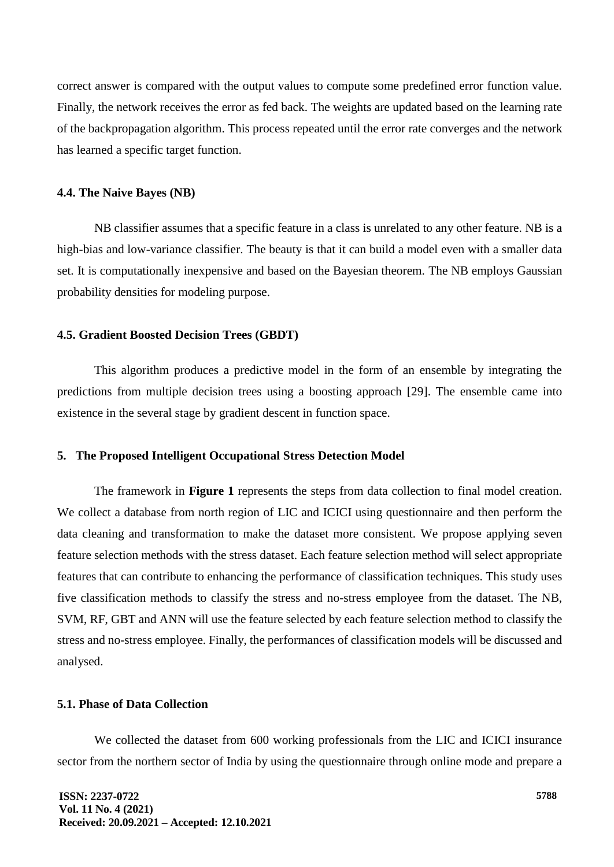correct answer is compared with the output values to compute some predefined error function value. Finally, the network receives the error as fed back. The weights are updated based on the learning rate of the backpropagation algorithm. This process repeated until the error rate converges and the network has learned a specific target function.

### **4.4. The Naive Bayes (NB)**

NB classifier assumes that a specific feature in a class is unrelated to any other feature. NB is a high-bias and low-variance classifier. The beauty is that it can build a model even with a smaller data set. It is computationally inexpensive and based on the Bayesian theorem. The NB employs Gaussian probability densities for modeling purpose.

### **4.5. Gradient Boosted Decision Trees (GBDT)**

This algorithm produces a predictive model in the form of an ensemble by integrating the predictions from multiple decision trees using a boosting approach [29]. The ensemble came into existence in the several stage by gradient descent in function space.

# **5. The Proposed Intelligent Occupational Stress Detection Model**

The framework in **Figure 1** represents the steps from data collection to final model creation. We collect a database from north region of LIC and ICICI using questionnaire and then perform the data cleaning and transformation to make the dataset more consistent. We propose applying seven feature selection methods with the stress dataset. Each feature selection method will select appropriate features that can contribute to enhancing the performance of classification techniques. This study uses five classification methods to classify the stress and no-stress employee from the dataset. The NB, SVM, RF, GBT and ANN will use the feature selected by each feature selection method to classify the stress and no-stress employee. Finally, the performances of classification models will be discussed and analysed.

# **5.1. Phase of Data Collection**

We collected the dataset from 600 working professionals from the LIC and ICICI insurance sector from the northern sector of India by using the questionnaire through online mode and prepare a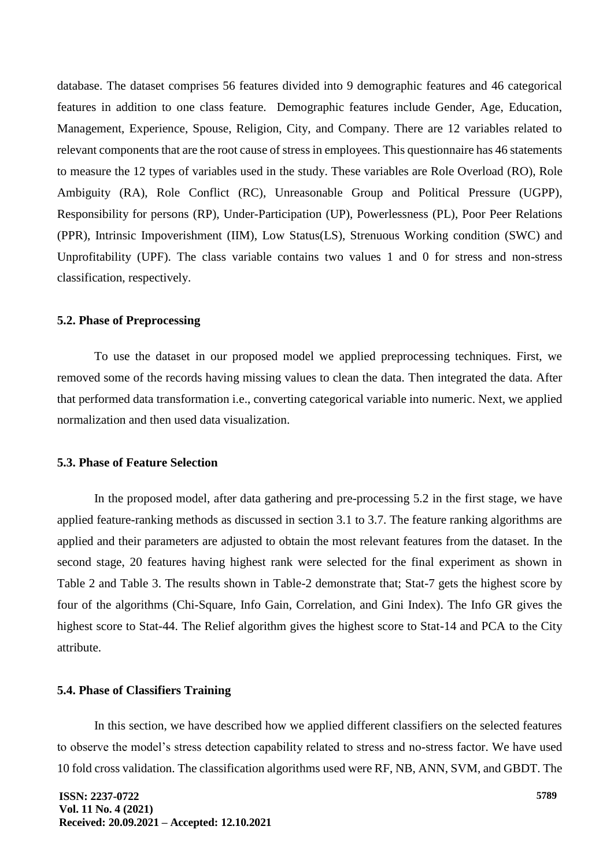database. The dataset comprises 56 features divided into 9 demographic features and 46 categorical features in addition to one class feature. Demographic features include Gender, Age, Education, Management, Experience, Spouse, Religion, City, and Company. There are 12 variables related to relevant components that are the root cause of stress in employees. This questionnaire has 46 statements to measure the 12 types of variables used in the study. These variables are Role Overload (RO), Role Ambiguity (RA), Role Conflict (RC), Unreasonable Group and Political Pressure (UGPP), Responsibility for persons (RP), Under-Participation (UP), Powerlessness (PL), Poor Peer Relations (PPR), Intrinsic Impoverishment (IIM), Low Status(LS), Strenuous Working condition (SWC) and Unprofitability (UPF). The class variable contains two values 1 and 0 for stress and non-stress classification, respectively.

### **5.2. Phase of Preprocessing**

To use the dataset in our proposed model we applied preprocessing techniques. First, we removed some of the records having missing values to clean the data. Then integrated the data. After that performed data transformation i.e., converting categorical variable into numeric. Next, we applied normalization and then used data visualization.

#### **5.3. Phase of Feature Selection**

In the proposed model, after data gathering and pre-processing 5.2 in the first stage, we have applied feature-ranking methods as discussed in section 3.1 to 3.7. The feature ranking algorithms are applied and their parameters are adjusted to obtain the most relevant features from the dataset. In the second stage, 20 features having highest rank were selected for the final experiment as shown in Table 2 and Table 3. The results shown in Table-2 demonstrate that; Stat-7 gets the highest score by four of the algorithms (Chi-Square, Info Gain, Correlation, and Gini Index). The Info GR gives the highest score to Stat-44. The Relief algorithm gives the highest score to Stat-14 and PCA to the City attribute.

### **5.4. Phase of Classifiers Training**

In this section, we have described how we applied different classifiers on the selected features to observe the model's stress detection capability related to stress and no-stress factor. We have used 10 fold cross validation. The classification algorithms used were RF, NB, ANN, SVM, and GBDT. The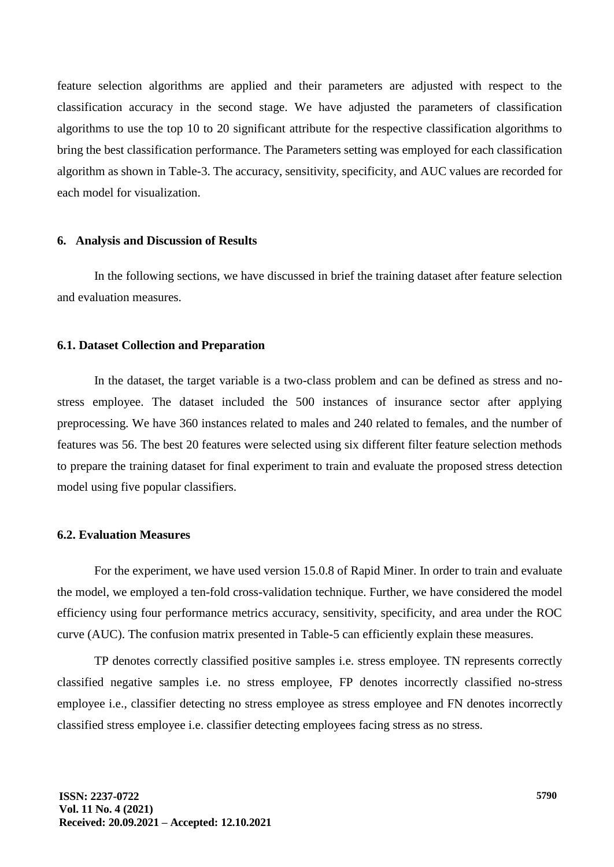feature selection algorithms are applied and their parameters are adjusted with respect to the classification accuracy in the second stage. We have adjusted the parameters of classification algorithms to use the top 10 to 20 significant attribute for the respective classification algorithms to bring the best classification performance. The Parameters setting was employed for each classification algorithm as shown in Table-3. The accuracy, sensitivity, specificity, and AUC values are recorded for each model for visualization.

#### **6. Analysis and Discussion of Results**

In the following sections, we have discussed in brief the training dataset after feature selection and evaluation measures.

### **6.1. Dataset Collection and Preparation**

In the dataset, the target variable is a two-class problem and can be defined as stress and nostress employee. The dataset included the 500 instances of insurance sector after applying preprocessing. We have 360 instances related to males and 240 related to females, and the number of features was 56. The best 20 features were selected using six different filter feature selection methods to prepare the training dataset for final experiment to train and evaluate the proposed stress detection model using five popular classifiers.

# **6.2. Evaluation Measures**

For the experiment, we have used version 15.0.8 of Rapid Miner. In order to train and evaluate the model, we employed a ten-fold cross-validation technique. Further, we have considered the model efficiency using four performance metrics accuracy, sensitivity, specificity, and area under the ROC curve (AUC). The confusion matrix presented in Table-5 can efficiently explain these measures.

TP denotes correctly classified positive samples i.e. stress employee. TN represents correctly classified negative samples i.e. no stress employee, FP denotes incorrectly classified no-stress employee i.e., classifier detecting no stress employee as stress employee and FN denotes incorrectly classified stress employee i.e. classifier detecting employees facing stress as no stress.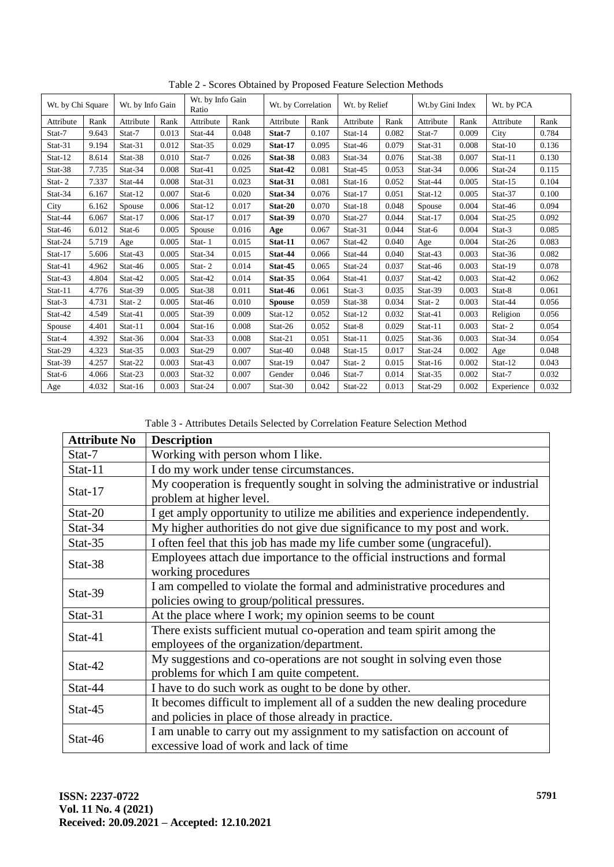| Wt. by Chi Square |       | Wt. by Info Gain |       | Wt. by Info Gain<br>Ratio |       | Wt. by Correlation |       | Wt. by Relief |       | Wt.by Gini Index |       | Wt. by PCA |       |
|-------------------|-------|------------------|-------|---------------------------|-------|--------------------|-------|---------------|-------|------------------|-------|------------|-------|
| Attribute         | Rank  | Attribute        | Rank  | Attribute                 | Rank  | Attribute          | Rank  | Attribute     | Rank  | Attribute        | Rank  | Attribute  | Rank  |
| Stat-7            | 9.643 | Stat-7           | 0.013 | Stat-44                   | 0.048 | Stat-7             | 0.107 | Stat-14       | 0.082 | Stat-7           | 0.009 | City       | 0.784 |
| Stat-31           | 9.194 | Stat-31          | 0.012 | Stat-35                   | 0.029 | Stat-17            | 0.095 | Stat-46       | 0.079 | Stat-31          | 0.008 | Stat-10    | 0.136 |
| Stat-12           | 8.614 | Stat-38          | 0.010 | Stat-7                    | 0.026 | Stat-38            | 0.083 | Stat-34       | 0.076 | Stat-38          | 0.007 | Stat-11    | 0.130 |
| Stat-38           | 7.735 | Stat-34          | 0.008 | Stat-41                   | 0.025 | Stat-42            | 0.081 | Stat-45       | 0.053 | Stat-34          | 0.006 | Stat-24    | 0.115 |
| Stat-2            | 7.337 | Stat-44          | 0.008 | Stat-31                   | 0.023 | Stat-31            | 0.081 | Stat-16       | 0.052 | Stat-44          | 0.005 | Stat-15    | 0.104 |
| Stat-34           | 6.167 | Stat-12          | 0.007 | Stat-6                    | 0.020 | Stat-34            | 0.076 | Stat-17       | 0.051 | Stat-12          | 0.005 | Stat-37    | 0.100 |
| City              | 6.162 | Spouse           | 0.006 | Stat-12                   | 0.017 | Stat-20            | 0.070 | Stat-18       | 0.048 | Spouse           | 0.004 | Stat-46    | 0.094 |
| Stat-44           | 6.067 | Stat-17          | 0.006 | Stat-17                   | 0.017 | Stat-39            | 0.070 | Stat-27       | 0.044 | Stat-17          | 0.004 | Stat-25    | 0.092 |
| Stat-46           | 6.012 | Stat-6           | 0.005 | Spouse                    | 0.016 | Age                | 0.067 | Stat-31       | 0.044 | Stat-6           | 0.004 | Stat-3     | 0.085 |
| Stat-24           | 5.719 | Age              | 0.005 | Stat-1                    | 0.015 | Stat-11            | 0.067 | Stat-42       | 0.040 | Age              | 0.004 | Stat-26    | 0.083 |
| Stat-17           | 5.606 | Stat-43          | 0.005 | Stat-34                   | 0.015 | Stat-44            | 0.066 | Stat-44       | 0.040 | Stat-43          | 0.003 | Stat-36    | 0.082 |
| Stat-41           | 4.962 | Stat-46          | 0.005 | Stat-2                    | 0.014 | Stat-45            | 0.065 | Stat-24       | 0.037 | Stat-46          | 0.003 | Stat-19    | 0.078 |
| Stat-43           | 4.804 | Stat-42          | 0.005 | Stat-42                   | 0.014 | Stat-35            | 0.064 | Stat-41       | 0.037 | Stat-42          | 0.003 | Stat-42    | 0.062 |
| Stat-11           | 4.776 | Stat-39          | 0.005 | Stat-38                   | 0.011 | Stat-46            | 0.061 | Stat-3        | 0.035 | Stat-39          | 0.003 | Stat-8     | 0.061 |
| Stat-3            | 4.731 | Stat-2           | 0.005 | Stat-46                   | 0.010 | <b>Spouse</b>      | 0.059 | Stat-38       | 0.034 | Stat-2           | 0.003 | Stat-44    | 0.056 |
| Stat-42           | 4.549 | Stat-41          | 0.005 | Stat-39                   | 0.009 | Stat-12            | 0.052 | Stat-12       | 0.032 | Stat-41          | 0.003 | Religion   | 0.056 |
| Spouse            | 4.401 | Stat-11          | 0.004 | Stat-16                   | 0.008 | Stat-26            | 0.052 | Stat-8        | 0.029 | Stat-11          | 0.003 | Stat-2     | 0.054 |
| Stat-4            | 4.392 | Stat-36          | 0.004 | Stat-33                   | 0.008 | Stat-21            | 0.051 | Stat-11       | 0.025 | Stat-36          | 0.003 | Stat-34    | 0.054 |
| Stat-29           | 4.323 | Stat-35          | 0.003 | Stat-29                   | 0.007 | Stat-40            | 0.048 | Stat-15       | 0.017 | Stat-24          | 0.002 | Age        | 0.048 |
| Stat-39           | 4.257 | Stat-22          | 0.003 | Stat-43                   | 0.007 | Stat-19            | 0.047 | Stat-2        | 0.015 | Stat-16          | 0.002 | Stat-12    | 0.043 |
| Stat-6            | 4.066 | Stat-23          | 0.003 | Stat-32                   | 0.007 | Gender             | 0.046 | Stat-7        | 0.014 | Stat-35          | 0.002 | Stat-7     | 0.032 |
| Age               | 4.032 | Stat-16          | 0.003 | Stat-24                   | 0.007 | $Stat-30$          | 0.042 | Stat-22       | 0.013 | Stat-29          | 0.002 | Experience | 0.032 |

Table 2 - Scores Obtained by Proposed Feature Selection Methods

Table 3 - Attributes Details Selected by Correlation Feature Selection Method

| <b>Attribute No</b> | <b>Description</b>                                                                                                                 |
|---------------------|------------------------------------------------------------------------------------------------------------------------------------|
| Stat-7              | Working with person whom I like.                                                                                                   |
| Stat-11             | I do my work under tense circumstances.                                                                                            |
| Stat- $17$          | My cooperation is frequently sought in solving the administrative or industrial<br>problem at higher level.                        |
| $Stat-20$           | I get amply opportunity to utilize me abilities and experience independently.                                                      |
| Stat-34             | My higher authorities do not give due significance to my post and work.                                                            |
| Stat-35             | I often feel that this job has made my life cumber some (ungraceful).                                                              |
| Stat-38             | Employees attach due importance to the official instructions and formal<br>working procedures                                      |
| Stat-39             | I am compelled to violate the formal and administrative procedures and<br>policies owing to group/political pressures.             |
| Stat-31             | At the place where I work; my opinion seems to be count                                                                            |
| Stat-41             | There exists sufficient mutual co-operation and team spirit among the<br>employees of the organization/department.                 |
| Stat-42             | My suggestions and co-operations are not sought in solving even those<br>problems for which I am quite competent.                  |
| Stat-44             | I have to do such work as ought to be done by other.                                                                               |
| Stat-45             | It becomes difficult to implement all of a sudden the new dealing procedure<br>and policies in place of those already in practice. |
| Stat-46             | I am unable to carry out my assignment to my satisfaction on account of<br>excessive load of work and lack of time                 |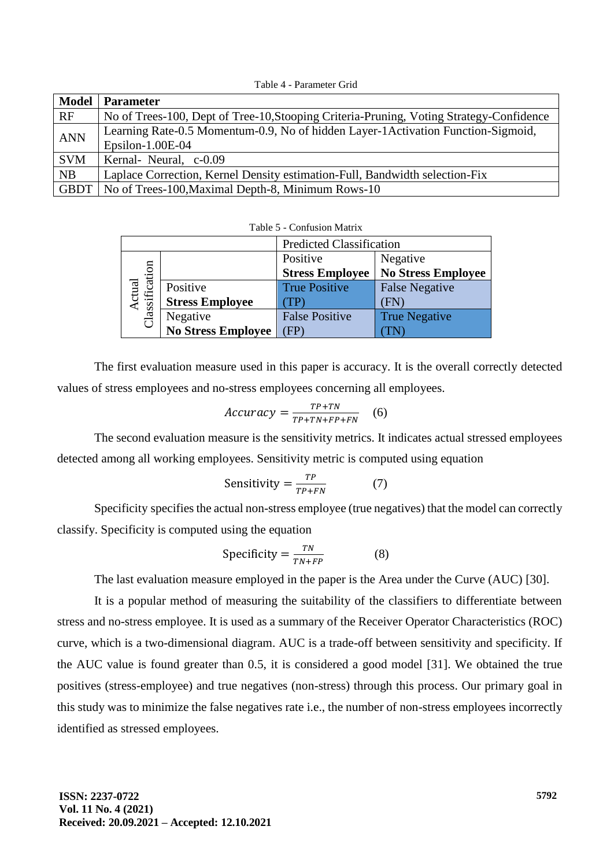Table 4 - Parameter Grid

| <b>Model</b> | <b>Parameter</b>                                                                        |
|--------------|-----------------------------------------------------------------------------------------|
| RF           | No of Trees-100, Dept of Tree-10, Stooping Criteria-Pruning, Voting Strategy-Confidence |
| <b>ANN</b>   | Learning Rate-0.5 Momentum-0.9, No of hidden Layer-1 Activation Function-Sigmoid,       |
|              | Epsilon- $1.00E-04$                                                                     |
| <b>SVM</b>   | Kernal- Neural, c-0.09                                                                  |
| NB           | Laplace Correction, Kernel Density estimation-Full, Bandwidth selection-Fix             |
| <b>GBDT</b>  | No of Trees-100, Maximal Depth-8, Minimum Rows-10                                       |

|                          |                           | <b>Predicted Classification</b> |                           |
|--------------------------|---------------------------|---------------------------------|---------------------------|
|                          |                           | Positive                        | Negative                  |
|                          |                           | <b>Stress Employee</b>          | <b>No Stress Employee</b> |
|                          | Positive                  | <b>True Positive</b>            | <b>False Negative</b>     |
| Actual<br>Classification | <b>Stress Employee</b>    |                                 | FN                        |
|                          | Negative                  | <b>False Positive</b>           | <b>True Negative</b>      |
|                          | <b>No Stress Employee</b> | $(\text{FP})$                   |                           |

Table 5 - Confusion Matrix

The first evaluation measure used in this paper is accuracy. It is the overall correctly detected values of stress employees and no-stress employees concerning all employees.

$$
Accuracy = \frac{TP + TN}{TP + TN + FP + FN} \quad (6)
$$

The second evaluation measure is the sensitivity metrics. It indicates actual stressed employees detected among all working employees. Sensitivity metric is computed using equation

$$
Sensitivity = \frac{TP}{TP+FN} \tag{7}
$$

Specificity specifies the actual non-stress employee (true negatives) that the model can correctly classify. Specificity is computed using the equation

$$
Specificity = \frac{TN}{TN + FP}
$$
 (8)

The last evaluation measure employed in the paper is the Area under the Curve (AUC) [30].

It is a popular method of measuring the suitability of the classifiers to differentiate between stress and no-stress employee. It is used as a summary of the Receiver Operator Characteristics (ROC) curve, which is a two-dimensional diagram. AUC is a trade-off between sensitivity and specificity. If the AUC value is found greater than 0.5, it is considered a good model [31]. We obtained the true positives (stress-employee) and true negatives (non-stress) through this process. Our primary goal in this study was to minimize the false negatives rate i.e., the number of non-stress employees incorrectly identified as stressed employees.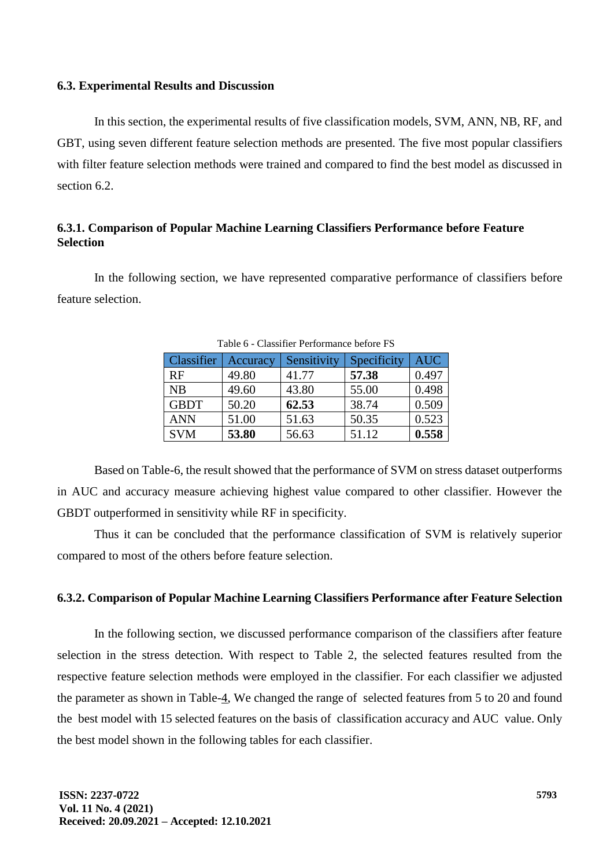#### **6.3. Experimental Results and Discussion**

In this section, the experimental results of five classification models, SVM, ANN, NB, RF, and GBT, using seven different feature selection methods are presented. The five most popular classifiers with filter feature selection methods were trained and compared to find the best model as discussed in section 6.2.

# **6.3.1. Comparison of Popular Machine Learning Classifiers Performance before Feature Selection**

In the following section, we have represented comparative performance of classifiers before feature selection.

| Classifier  | Accuracy | Sensitivity | Specificity | <b>AUC</b> |
|-------------|----------|-------------|-------------|------------|
| RF          | 49.80    | 41.77       | 57.38       | 0.497      |
| NB          | 49.60    | 43.80       | 55.00       | 0.498      |
| <b>GBDT</b> | 50.20    | 62.53       | 38.74       | 0.509      |
| <b>ANN</b>  | 51.00    | 51.63       | 50.35       | 0.523      |
| <b>SVM</b>  | 53.80    | 56.63       | 51.12       | 0.558      |

Table 6 - Classifier Performance before FS

Based on Table-6, the result showed that the performance of SVM on stress dataset outperforms in AUC and accuracy measure achieving highest value compared to other classifier. However the GBDT outperformed in sensitivity while RF in specificity.

Thus it can be concluded that the performance classification of SVM is relatively superior compared to most of the others before feature selection.

# **6.3.2. Comparison of Popular Machine Learning Classifiers Performance after Feature Selection**

In the following section, we discussed performance comparison of the classifiers after feature selection in the stress detection. With respect to Table 2, the selected features resulted from the respective feature selection methods were employed in the classifier. For each classifier we adjusted the parameter as shown in Table-4, We changed the range of selected features from 5 to 20 and found the best model with 15 selected features on the basis of classification accuracy and AUC value. Only the best model shown in the following tables for each classifier.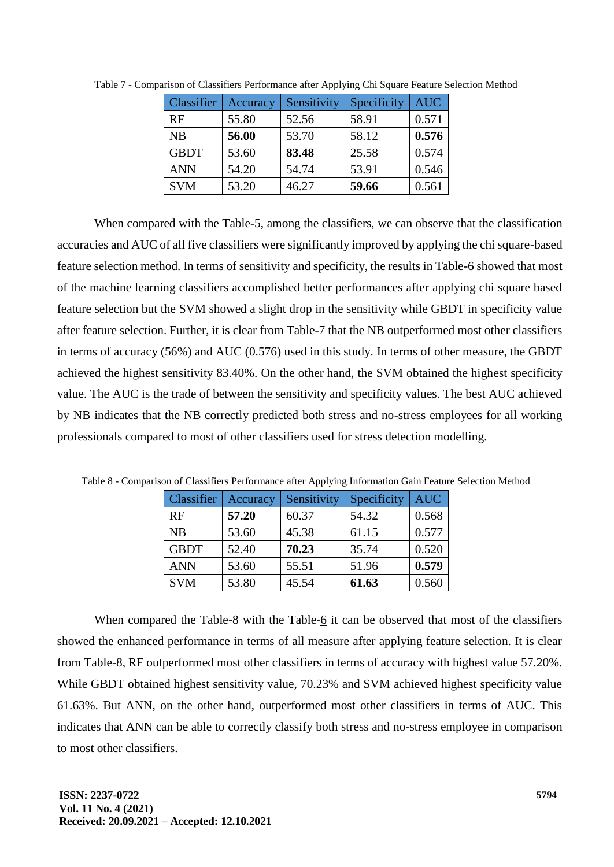| <b>Classifier</b> | Accuracy | Sensitivity | Specificity | <b>AUC</b> |
|-------------------|----------|-------------|-------------|------------|
| <b>RF</b>         | 55.80    | 52.56       | 58.91       | 0.571      |
| <b>NB</b>         | 56.00    | 53.70       | 58.12       | 0.576      |
| <b>GBDT</b>       | 53.60    | 83.48       | 25.58       | 0.574      |
| <b>ANN</b>        | 54.20    | 54.74       | 53.91       | 0.546      |
| <b>SVM</b>        | 53.20    | 46.27       | 59.66       | 0.561      |

Table 7 - Comparison of Classifiers Performance after Applying Chi Square Feature Selection Method

When compared with the Table-5, among the classifiers, we can observe that the classification accuracies and AUC of all five classifiers were significantly improved by applying the chi square-based feature selection method. In terms of sensitivity and specificity, the results in Table-6 showed that most of the machine learning classifiers accomplished better performances after applying chi square based feature selection but the SVM showed a slight drop in the sensitivity while GBDT in specificity value after feature selection. Further, it is clear from Table-7 that the NB outperformed most other classifiers in terms of accuracy (56%) and AUC (0.576) used in this study. In terms of other measure, the GBDT achieved the highest sensitivity 83.40%. On the other hand, the SVM obtained the highest specificity value. The AUC is the trade of between the sensitivity and specificity values. The best AUC achieved by NB indicates that the NB correctly predicted both stress and no-stress employees for all working professionals compared to most of other classifiers used for stress detection modelling.

| Classifier  | Accuracy | Sensitivity | Specificity | <b>AUC</b> |
|-------------|----------|-------------|-------------|------------|
| <b>RF</b>   | 57.20    | 60.37       | 54.32       | 0.568      |
| <b>NB</b>   | 53.60    | 45.38       | 61.15       | 0.577      |
| <b>GBDT</b> | 52.40    | 70.23       | 35.74       | 0.520      |
| <b>ANN</b>  | 53.60    | 55.51       | 51.96       | 0.579      |
| <b>SVM</b>  | 53.80    | 45.54       | 61.63       | 0.560      |

Table 8 - Comparison of Classifiers Performance after Applying Information Gain Feature Selection Method

When compared the Table-8 with the Table- $6$  it can be observed that most of the classifiers showed the enhanced performance in terms of all measure after applying feature selection. It is clear from Table-8, RF outperformed most other classifiers in terms of accuracy with highest value 57.20%. While GBDT obtained highest sensitivity value, 70.23% and SVM achieved highest specificity value 61.63%. But ANN, on the other hand, outperformed most other classifiers in terms of AUC. This indicates that ANN can be able to correctly classify both stress and no-stress employee in comparison to most other classifiers.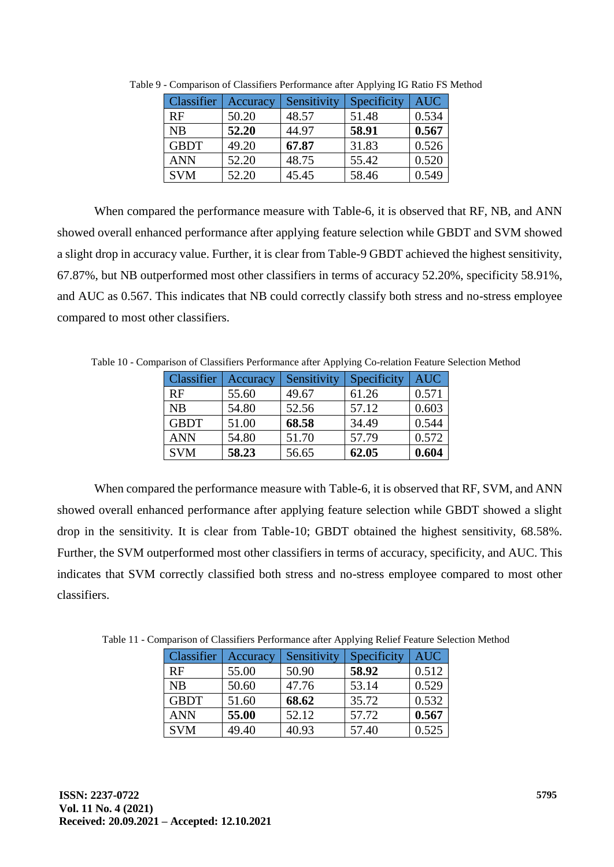| Classifier  | Accuracy | Sensitivity | Specificity | <b>AUC</b> |
|-------------|----------|-------------|-------------|------------|
| <b>RF</b>   | 50.20    | 48.57       | 51.48       | 0.534      |
| <b>NB</b>   | 52.20    | 44.97       | 58.91       | 0.567      |
| <b>GBDT</b> | 49.20    | 67.87       | 31.83       | 0.526      |
| <b>ANN</b>  | 52.20    | 48.75       | 55.42       | 0.520      |
| <b>SVM</b>  | 52.20    | 45.45       | 58.46       | 0.549      |

Table 9 - Comparison of Classifiers Performance after Applying IG Ratio FS Method

When compared the performance measure with Table-6, it is observed that RF, NB, and ANN showed overall enhanced performance after applying feature selection while GBDT and SVM showed a slight drop in accuracy value. Further, it is clear from Table-9 GBDT achieved the highest sensitivity, 67.87%, but NB outperformed most other classifiers in terms of accuracy 52.20%, specificity 58.91%, and AUC as 0.567. This indicates that NB could correctly classify both stress and no-stress employee compared to most other classifiers.

Table 10 - Comparison of Classifiers Performance after Applying Co-relation Feature Selection Method

| <b>Classifier</b> | Accuracy | Sensitivity | Specificity | <b>AUC</b> |
|-------------------|----------|-------------|-------------|------------|
| RF                | 55.60    | 49.67       | 61.26       | 0.571      |
| <b>NB</b>         | 54.80    | 52.56       | 57.12       | 0.603      |
| <b>GBDT</b>       | 51.00    | 68.58       | 34.49       | 0.544      |
| <b>ANN</b>        | 54.80    | 51.70       | 57.79       | 0.572      |
| <b>SVM</b>        | 58.23    | 56.65       | 62.05       | 0.604      |

When compared the performance measure with Table-6, it is observed that RF, SVM, and ANN showed overall enhanced performance after applying feature selection while GBDT showed a slight drop in the sensitivity. It is clear from Table-10; GBDT obtained the highest sensitivity, 68.58%. Further, the SVM outperformed most other classifiers in terms of accuracy, specificity, and AUC. This indicates that SVM correctly classified both stress and no-stress employee compared to most other classifiers.

Table 11 - Comparison of Classifiers Performance after Applying Relief Feature Selection Method

| Classifier  | Accuracy | Sensitivity | Specificity | <b>AUC</b> |
|-------------|----------|-------------|-------------|------------|
| RF          | 55.00    | 50.90       | 58.92       | 0.512      |
| NB          | 50.60    | 47.76       | 53.14       | 0.529      |
| <b>GBDT</b> | 51.60    | 68.62       | 35.72       | 0.532      |
| <b>ANN</b>  | 55.00    | 52.12       | 57.72       | 0.567      |
| <b>SVM</b>  | 49.40    | 40.93       | 57.40       | 0.525      |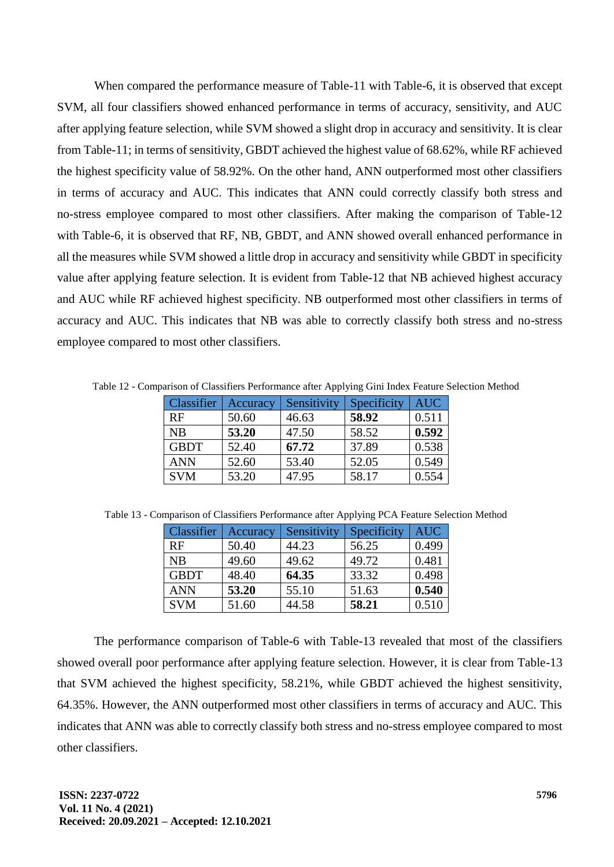When compared the performance measure of Table-11 with Table-6, it is observed that except SVM, all four classifiers showed enhanced performance in terms of accuracy, sensitivity, and AUC after applying feature selection, while SVM showed a slight drop in accuracy and sensitivity. It is clear from Table-11; in terms of sensitivity, GBDT achieved the highest value of 68.62%, while RF achieved the highest specificity value of 58.92%. On the other hand, ANN outperformed most other classifiers in terms of accuracy and AUC. This indicates that ANN could correctly classify both stress and no-stress employee compared to most other classifiers. After making the comparison of Table-12 with Table-6, it is observed that RF, NB, GBDT, and ANN showed overall enhanced performance in all the measures while SVM showed a little drop in accuracy and sensitivity while GBDT in specificity value after applying feature selection. It is evident from Table-12 that NB achieved highest accuracy and AUC while RF achieved highest specificity. NB outperformed most other classifiers in terms of accuracy and AUC. This indicates that NB was able to correctly classify both stress and no-stress employee compared to most other classifiers.

Table 12 - Comparison of Classifiers Performance after Applying Gini Index Feature Selection Method

| Classifier  | Accuracy | Sensitivity | Specificity | <b>AUC</b> |
|-------------|----------|-------------|-------------|------------|
| RF          | 50.60    | 46.63       | 58.92       | 0.511      |
| <b>NB</b>   | 53.20    | 47.50       | 58.52       | 0.592      |
| <b>GBDT</b> | 52.40    | 67.72       | 37.89       | 0.538      |
| <b>ANN</b>  | 52.60    | 53.40       | 52.05       | 0.549      |
| <b>SVM</b>  | 53.20    | 47.95       | 58.17       | 0.554      |

| Classifier  | Accuracy | Sensitivity | Specificity | <b>AUC</b> |
|-------------|----------|-------------|-------------|------------|
| RF          | 50.40    | 44.23       | 56.25       | 0.499      |
| NB          | 49.60    | 49.62       | 49.72       | 0.481      |
| <b>GBDT</b> | 48.40    | 64.35       | 33.32       | 0.498      |
| <b>ANN</b>  | 53.20    | 55.10       | 51.63       | 0.540      |
| <b>SVM</b>  | 51.60    | 44.58       | 58.21       | 0.510      |

Table 13 - Comparison of Classifiers Performance after Applying PCA Feature Selection Method

The performance comparison of Table-6 with Table-13 revealed that most of the classifiers showed overall poor performance after applying feature selection. However, it is clear from Table-13 that SVM achieved the highest specificity, 58.21%, while GBDT achieved the highest sensitivity, 64.35%. However, the ANN outperformed most other classifiers in terms of accuracy and AUC. This indicates that ANN was able to correctly classify both stress and no-stress employee compared to most other classifiers.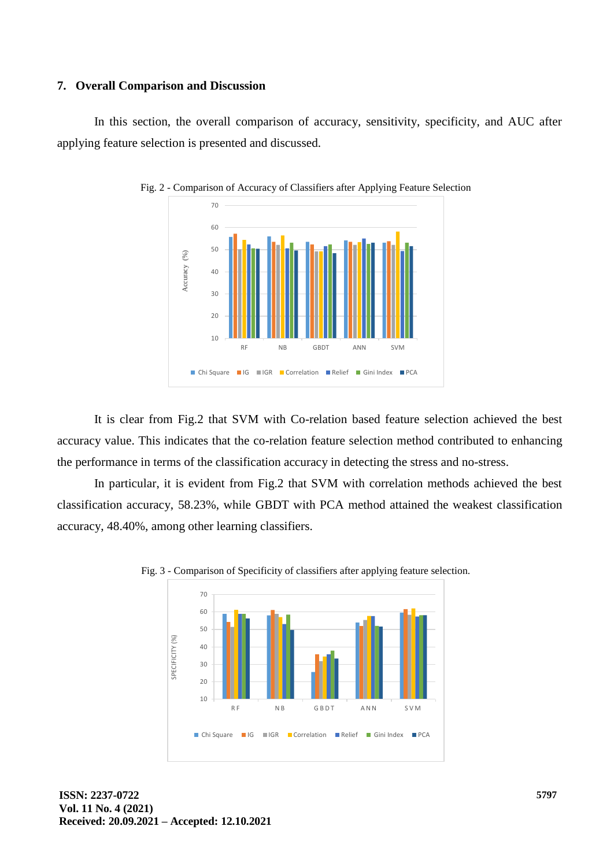#### **7. Overall Comparison and Discussion**

In this section, the overall comparison of accuracy, sensitivity, specificity, and AUC after applying feature selection is presented and discussed.



Fig. 2 - Comparison of Accuracy of Classifiers after Applying Feature Selection

It is clear from Fig.2 that SVM with Co-relation based feature selection achieved the best accuracy value. This indicates that the co-relation feature selection method contributed to enhancing the performance in terms of the classification accuracy in detecting the stress and no-stress.

In particular, it is evident from Fig.2 that SVM with correlation methods achieved the best classification accuracy, 58.23%, while GBDT with PCA method attained the weakest classification accuracy, 48.40%, among other learning classifiers.



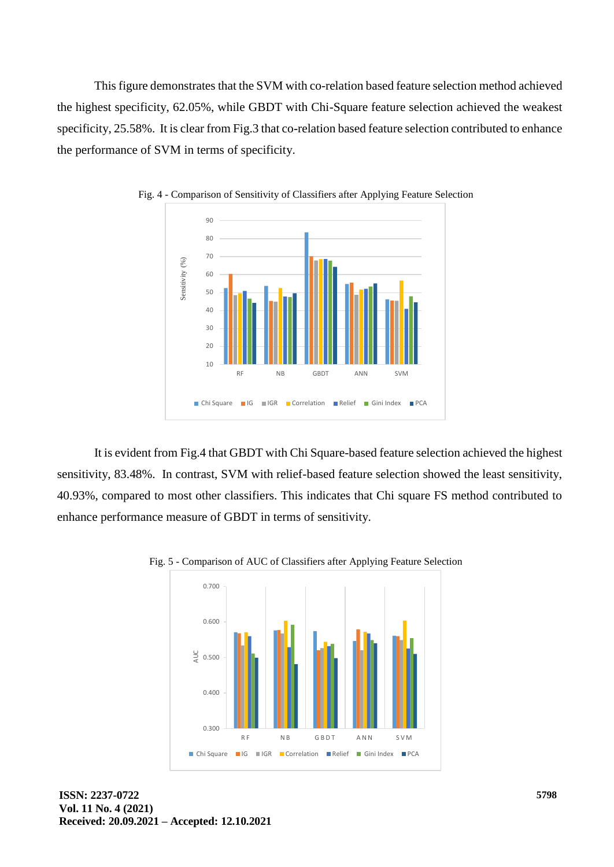This figure demonstrates that the SVM with co-relation based feature selection method achieved the highest specificity, 62.05%, while GBDT with Chi-Square feature selection achieved the weakest specificity, 25.58%. It is clear from Fig.3 that co-relation based feature selection contributed to enhance the performance of SVM in terms of specificity.



Fig. 4 - Comparison of Sensitivity of Classifiers after Applying Feature Selection

It is evident from Fig.4 that GBDT with Chi Square-based feature selection achieved the highest sensitivity, 83.48%. In contrast, SVM with relief-based feature selection showed the least sensitivity, 40.93%, compared to most other classifiers. This indicates that Chi square FS method contributed to enhance performance measure of GBDT in terms of sensitivity.



Fig. 5 - Comparison of AUC of Classifiers after Applying Feature Selection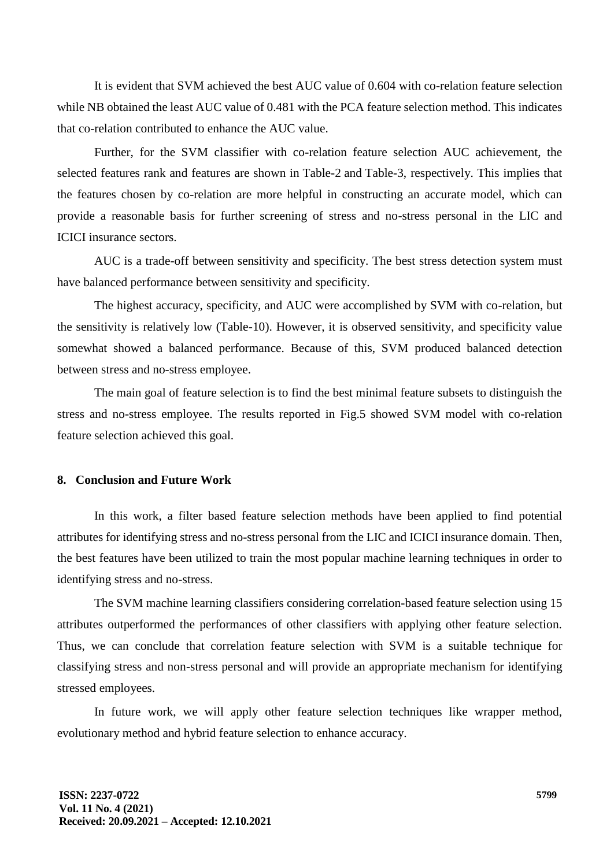It is evident that SVM achieved the best AUC value of 0.604 with co-relation feature selection while NB obtained the least AUC value of 0.481 with the PCA feature selection method. This indicates that co-relation contributed to enhance the AUC value.

Further, for the SVM classifier with co-relation feature selection AUC achievement, the selected features rank and features are shown in Table-2 and Table-3, respectively. This implies that the features chosen by co-relation are more helpful in constructing an accurate model, which can provide a reasonable basis for further screening of stress and no-stress personal in the LIC and ICICI insurance sectors.

AUC is a trade-off between sensitivity and specificity. The best stress detection system must have balanced performance between sensitivity and specificity.

The highest accuracy, specificity, and AUC were accomplished by SVM with co-relation, but the sensitivity is relatively low (Table-10). However, it is observed sensitivity, and specificity value somewhat showed a balanced performance. Because of this, SVM produced balanced detection between stress and no-stress employee.

The main goal of feature selection is to find the best minimal feature subsets to distinguish the stress and no-stress employee. The results reported in Fig.5 showed SVM model with co-relation feature selection achieved this goal.

### **8. Conclusion and Future Work**

In this work, a filter based feature selection methods have been applied to find potential attributes for identifying stress and no-stress personal from the LIC and ICICI insurance domain. Then, the best features have been utilized to train the most popular machine learning techniques in order to identifying stress and no-stress.

The SVM machine learning classifiers considering correlation-based feature selection using 15 attributes outperformed the performances of other classifiers with applying other feature selection. Thus, we can conclude that correlation feature selection with SVM is a suitable technique for classifying stress and non-stress personal and will provide an appropriate mechanism for identifying stressed employees.

In future work, we will apply other feature selection techniques like wrapper method, evolutionary method and hybrid feature selection to enhance accuracy.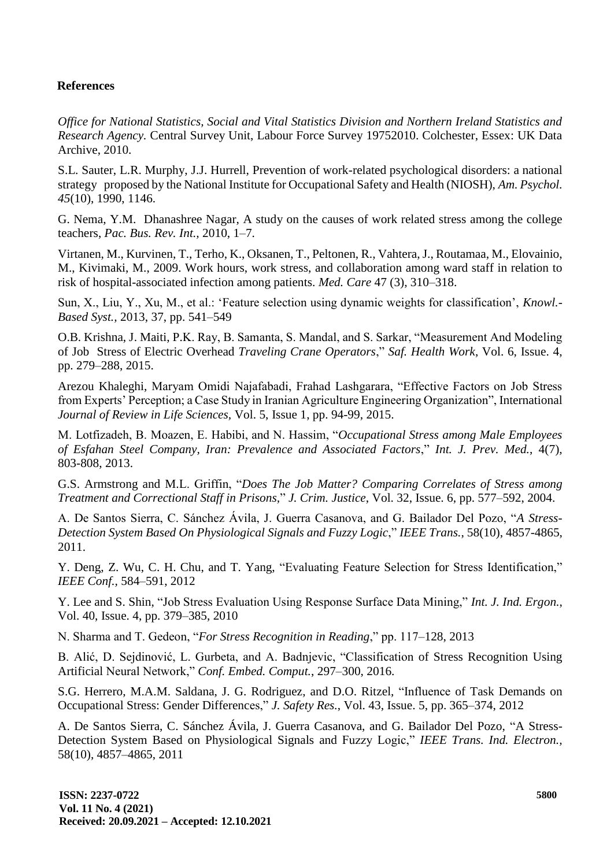# **References**

*Office for National Statistics, Social and Vital Statistics Division and Northern Ireland Statistics and Research Agency.* Central Survey Unit, Labour Force Survey 19752010. Colchester, Essex: UK Data Archive, 2010.

S.L. Sauter, L.R. Murphy, J.J. Hurrell, Prevention of work-related psychological disorders: a national strategy proposed by the National Institute for Occupational Safety and Health (NIOSH), *Am. Psychol. 45*(10), 1990, 1146.

G. Nema, Y.M. Dhanashree Nagar, A study on the causes of work related stress among the college teachers, *Pac. Bus. Rev. Int.,* 2010, 1–7.

Virtanen, M., Kurvinen, T., Terho, K., Oksanen, T., Peltonen, R., Vahtera, J., Routamaa, M., Elovainio, M., Kivimaki, M., 2009. Work hours, work stress, and collaboration among ward staff in relation to risk of hospital-associated infection among patients. *Med. Care* 47 (3), 310–318.

Sun, X., Liu, Y., Xu, M., et al.: 'Feature selection using dynamic weights for classification', *Knowl.- Based Syst.,* 2013, 37, pp. 541–549

O.B. Krishna, J. Maiti, P.K. Ray, B. Samanta, S. Mandal, and S. Sarkar, "Measurement And Modeling of Job Stress of Electric Overhead *Traveling Crane Operators*," *Saf. Health Work*, Vol. 6, Issue. 4, pp. 279–288, 2015.

Arezou Khaleghi, Maryam Omidi Najafabadi, Frahad Lashgarara, "Effective Factors on Job Stress from Experts' Perception; a Case Study in Iranian Agriculture Engineering Organization", International *Journal of Review in Life Sciences,* Vol. 5, Issue 1, pp. 94-99, 2015.

M. Lotfizadeh, B. Moazen, E. Habibi, and N. Hassim, "*Occupational Stress among Male Employees of Esfahan Steel Company, Iran: Prevalence and Associated Factors*," *Int. J. Prev. Med.*, 4(7), 803-808, 2013.

G.S. Armstrong and M.L. Griffin, "*Does The Job Matter? Comparing Correlates of Stress among Treatment and Correctional Staff in Prisons,*" *J. Crim. Justice*, Vol. 32, Issue. 6, pp. 577–592, 2004.

A. De Santos Sierra, C. Sánchez Ávila, J. Guerra Casanova, and G. Bailador Del Pozo, "*A Stress-Detection System Based On Physiological Signals and Fuzzy Logic*," *IEEE Trans.*, 58(10), 4857-4865, 2011.

Y. Deng, Z. Wu, C. H. Chu, and T. Yang, "Evaluating Feature Selection for Stress Identification," *IEEE Conf.,* 584–591, 2012

Y. Lee and S. Shin, "Job Stress Evaluation Using Response Surface Data Mining," *Int. J. Ind. Ergon.*, Vol. 40, Issue. 4, pp. 379–385, 2010

N. Sharma and T. Gedeon, "*For Stress Recognition in Reading*," pp. 117–128, 2013

B. Alić, D. Sejdinović, L. Gurbeta, and A. Badnjevic, "Classification of Stress Recognition Using Artificial Neural Network," *Conf. Embed. Comput.*, 297–300, 2016.

S.G. Herrero, M.A.M. Saldana, J. G. Rodriguez, and D.O. Ritzel, "Influence of Task Demands on Occupational Stress: Gender Differences," *J. Safety Res.*, Vol. 43, Issue. 5, pp. 365–374, 2012

A. De Santos Sierra, C. Sánchez Ávila, J. Guerra Casanova, and G. Bailador Del Pozo, "A Stress-Detection System Based on Physiological Signals and Fuzzy Logic," *IEEE Trans. Ind. Electron.,* 58(10), 4857–4865, 2011